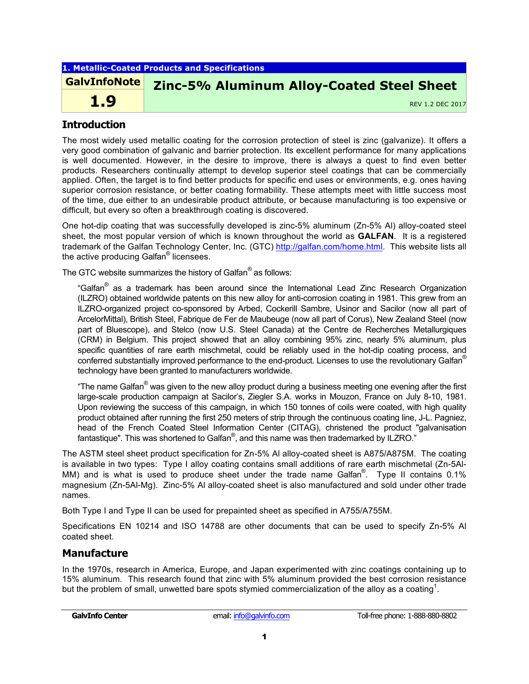| 1. Metallic-Coated Products and Specifications |                                                  |  |  |  |  |  |
|------------------------------------------------|--------------------------------------------------|--|--|--|--|--|
| <b>GalvInfoNote</b>                            | <b>Zinc-5% Aluminum Alloy-Coated Steel Sheet</b> |  |  |  |  |  |
| 1.9                                            | REV 1.2 DEC 2017                                 |  |  |  |  |  |
|                                                |                                                  |  |  |  |  |  |

# **Introduction**

The most widely used metallic coating for the corrosion protection of steel is zinc (galvanize). It offers a very good combination of galvanic and barrier protection. Its excellent performance for many applications is well documented. However, in the desire to improve, there is always a quest to find even better products. Researchers continually attempt to develop superior steel coatings that can be commercially applied. Often, the target is to find better products for specific end uses or environments, e.g. ones having superior corrosion resistance, or better coating formability. These attempts meet with little success most of the time, due either to an undesirable product attribute, or because manufacturing is too expensive or difficult, but every so often a breakthrough coating is discovered.

One hot-dip coating that was successfully developed is zinc-5% aluminum (Zn-5% Al) alloy-coated steel sheet, the most popular version of which is known throughout the world as **GALFAN**. It is a registered trademark of the Galfan Technology Center, Inc. (GTC) http://galfan.com/home.html. This website lists all the active producing Galfan<sup>®</sup> licensees.

The GTC website summarizes the history of Galfan<sup>®</sup> as follows:

"Galfan® as a trademark has been around since the International Lead Zinc Research Organization (ILZRO) obtained worldwide patents on this new alloy for anti-corrosion coating in 1981. This grew from an ILZRO-organized project co-sponsored by Arbed, Cockerill Sambre, Usinor and Sacilor (now all part of ArcelorMittal), British Steel, Fabrique de Fer de Maubeuge (now all part of Corus), New Zealand Steel (now part of Bluescope), and Stelco (now U.S. Steel Canada) at the Centre de Recherches Metallurgiques (CRM) in Belgium. This project showed that an alloy combining 95% zinc, nearly 5% aluminum, plus specific quantities of rare earth mischmetal, could be reliably used in the hot-dip coating process, and conferred substantially improved performance to the end-product. Licenses to use the revolutionary Galfan<sup>®</sup> technology have been granted to manufacturers worldwide.

"The name Galfan<sup>®</sup> was given to the new alloy product during a business meeting one evening after the first large-scale production campaign at Sacilor's, Ziegler S.A. works in Mouzon, France on July 8-10, 1981. Upon reviewing the success of this campaign, in which 150 tonnes of coils were coated, with high quality product obtained after running the first 250 meters of strip through the continuous coating line, J-L. Pagniez, head of the French Coated Steel Information Center (CITAG), christened the product "galvanisation fantastique". This was shortened to Galfan $^\circ$ , and this name was then trademarked by ILZRO."

The ASTM steel sheet product specification for Zn-5% Al alloy-coated sheet is A875/A875M. The coating is available in two types: Type I alloy coating contains small additions of rare earth mischmetal (Zn-5Al-MM) and is what is used to produce sheet under the trade name Galfan<sup>®</sup>. Type II contains 0.1% magnesium (Zn-5Al-Mg). Zinc-5% Al alloy-coated sheet is also manufactured and sold under other trade names.

Both Type I and Type II can be used for prepainted sheet as specified in A755/A755M.

Specifications EN 10214 and ISO 14788 are other documents that can be used to specify Zn-5% Al coated sheet.

# **Manufacture**

In the 1970s, research in America, Europe, and Japan experimented with zinc coatings containing up to 15% aluminum. This research found that zinc with 5% aluminum provided the best corrosion resistance but the problem of small, unwetted bare spots stymied commercialization of the alloy as a coating<sup>1</sup>.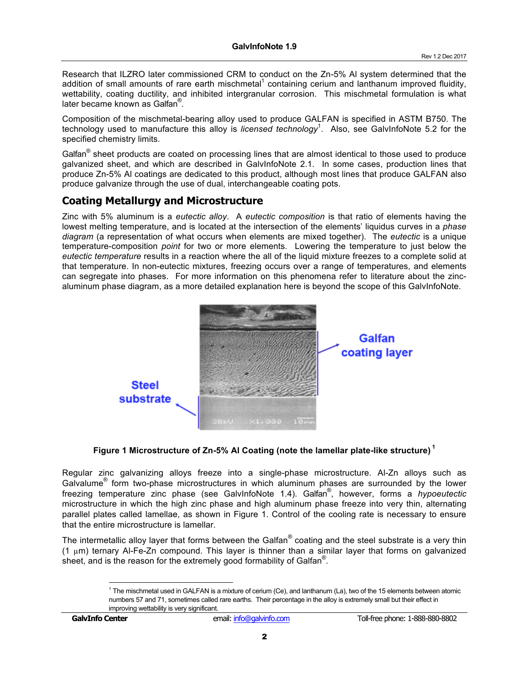Research that ILZRO later commissioned CRM to conduct on the Zn-5% Al system determined that the addition of small amounts of rare earth mischmetal<sup>1</sup> containing cerium and lanthanum improved fluidity, wettability, coating ductility, and inhibited intergranular corrosion. This mischmetal formulation is what later became known as Galfan® .

Composition of the mischmetal-bearing alloy used to produce GALFAN is specified in ASTM B750. The technology used to manufacture this alloy is *licensed technology*<sup>1</sup> . Also, see GalvInfoNote 5.2 for the specified chemistry limits.

Galfan® sheet products are coated on processing lines that are almost identical to those used to produce galvanized sheet, and which are described in GalvInfoNote 2.1. In some cases, production lines that produce Zn-5% Al coatings are dedicated to this product, although most lines that produce GALFAN also produce galvanize through the use of dual, interchangeable coating pots.

# **Coating Metallurgy and Microstructure**

Zinc with 5% aluminum is a *eutectic alloy*. A *eutectic composition* is that ratio of elements having the lowest melting temperature, and is located at the intersection of the elements' liquidus curves in a *phase diagram* (a representation of what occurs when elements are mixed together). The *eutectic* is a unique temperature-composition *point* for two or more elements. Lowering the temperature to just below the *eutectic temperature* results in a reaction where the all of the liquid mixture freezes to a complete solid at that temperature. In non-eutectic mixtures, freezing occurs over a range of temperatures, and elements can segregate into phases. For more information on this phenomena refer to literature about the zincaluminum phase diagram, as a more detailed explanation here is beyond the scope of this GalvInfoNote.



### **Figure 1 Microstructure of Zn-5% Al Coating (note the lamellar plate-like structure) <sup>1</sup>**

Regular zinc galvanizing alloys freeze into a single-phase microstructure. Al-Zn alloys such as Galvalume<sup>®</sup> form two-phase microstructures in which aluminum phases are surrounded by the lower freezing temperature zinc phase (see GalvInfoNote 1.4). Galfan® , however, forms a *hypoeutectic* microstructure in which the high zinc phase and high aluminum phase freeze into very thin, alternating parallel plates called lamellae, as shown in Figure 1. Control of the cooling rate is necessary to ensure that the entire microstructure is lamellar.

The intermetallic alloy layer that forms between the Galfan<sup>®</sup> coating and the steel substrate is a very thin (1 µm) ternary Al-Fe-Zn compound. This layer is thinner than a similar layer that forms on galvanized sheet, and is the reason for the extremely good formability of Galfan<sup>®</sup>.

 $1$  The mischmetal used in GALFAN is a mixture of cerium (Ce), and lanthanum (La), two of the 15 elements between atomic numbers 57 and 71, sometimes called rare earths. Their percentage in the alloy is extremely small but their effect in improving wettability is very significant.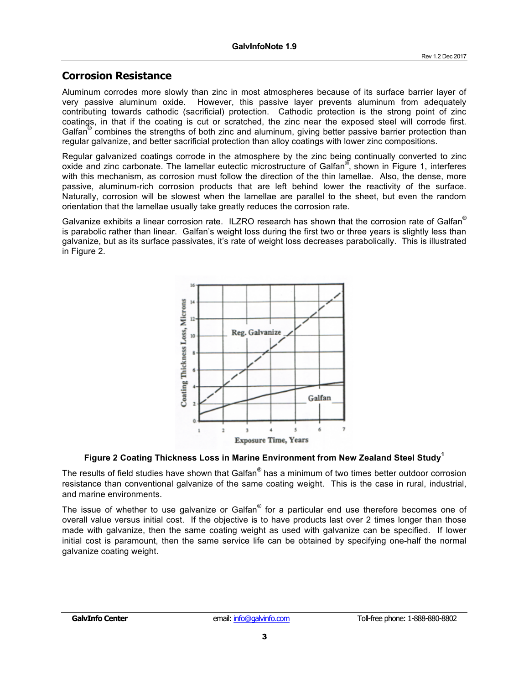## **Corrosion Resistance**

Aluminum corrodes more slowly than zinc in most atmospheres because of its surface barrier layer of very passive aluminum oxide. However, this passive layer prevents aluminum from adequately contributing towards cathodic (sacrificial) protection. Cathodic protection is the strong point of zinc coatings, in that if the coating is cut or scratched, the zinc near the exposed steel will corrode first. Galfan<sup>®</sup> combines the strengths of both zinc and aluminum, giving better passive barrier protection than regular galvanize, and better sacrificial protection than alloy coatings with lower zinc compositions.

Regular galvanized coatings corrode in the atmosphere by the zinc being continually converted to zinc oxide and zinc carbonate. The lamellar eutectic microstructure of Galfan<sup>®</sup>, shown in Figure 1, interferes with this mechanism, as corrosion must follow the direction of the thin lamellae. Also, the dense, more passive, aluminum-rich corrosion products that are left behind lower the reactivity of the surface. Naturally, corrosion will be slowest when the lamellae are parallel to the sheet, but even the random orientation that the lamellae usually take greatly reduces the corrosion rate.

Galvanize exhibits a linear corrosion rate. ILZRO research has shown that the corrosion rate of Galfan<sup>®</sup> is parabolic rather than linear. Galfan's weight loss during the first two or three years is slightly less than galvanize, but as its surface passivates, it's rate of weight loss decreases parabolically. This is illustrated in Figure 2.



#### **Figure 2 Coating Thickness Loss in Marine Environment from New Zealand Steel Study<sup>1</sup>**

The results of field studies have shown that Galfan<sup>®</sup> has a minimum of two times better outdoor corrosion resistance than conventional galvanize of the same coating weight. This is the case in rural, industrial, and marine environments.

The issue of whether to use galvanize or Galfan<sup>®</sup> for a particular end use therefore becomes one of overall value versus initial cost. If the objective is to have products last over 2 times longer than those made with galvanize, then the same coating weight as used with galvanize can be specified. If lower initial cost is paramount, then the same service life can be obtained by specifying one-half the normal galvanize coating weight.